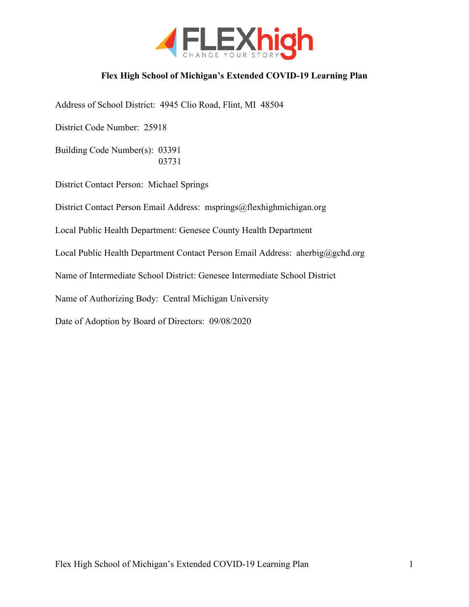

### **Flex High School of Michigan's Extended COVID-19 Learning Plan**

Address of School District: 4945 Clio Road, Flint, MI 48504

District Code Number: 25918

Building Code Number(s): 03391 03731

District Contact Person: Michael Springs

District Contact Person Email Address: msprings@flexhighmichigan.org

Local Public Health Department: Genesee County Health Department

Local Public Health Department Contact Person Email Address: aherbig@gchd.org

Name of Intermediate School District: Genesee Intermediate School District

Name of Authorizing Body: Central Michigan University

Date of Adoption by Board of Directors: 09/08/2020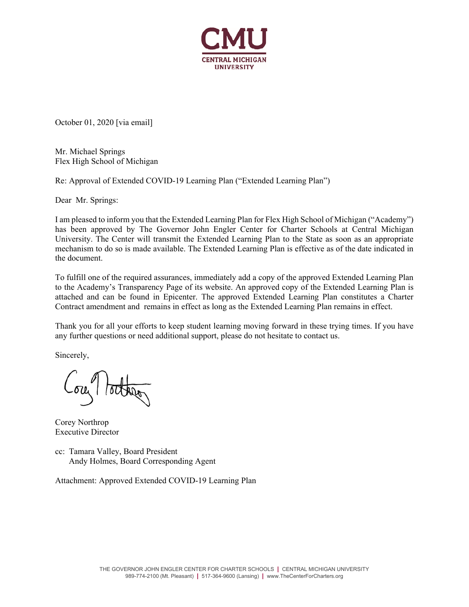

October 01, 2020 [via email]

Mr. Michael Springs Flex High School of Michigan

Re: Approval of Extended COVID-19 Learning Plan ("Extended Learning Plan")

Dear Mr. Springs:

I am pleased to inform you that the Extended Learning Plan for Flex High School of Michigan ("Academy") has been approved by The Governor John Engler Center for Charter Schools at Central Michigan University. The Center will transmit the Extended Learning Plan to the State as soon as an appropriate mechanism to do so is made available. The Extended Learning Plan is effective as of the date indicated in the document.

To fulfill one of the required assurances, immediately add a copy of the approved Extended Learning Plan to the Academy's Transparency Page of its website. An approved copy of the Extended Learning Plan is attached and can be found in Epicenter. The approved Extended Learning Plan constitutes a Charter Contract amendment and remains in effect as long as the Extended Learning Plan remains in effect.

Thank you for all your efforts to keep student learning moving forward in these trying times. If you have any further questions or need additional support, please do not hesitate to contact us.

Sincerely,

Corey Northrop Executive Director

cc: Tamara Valley, Board President Andy Holmes, Board Corresponding Agent

Attachment: Approved Extended COVID-19 Learning Plan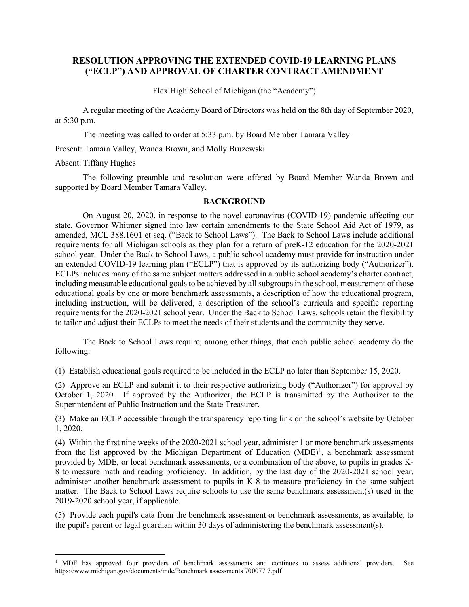#### **RESOLUTION APPROVING THE EXTENDED COVID-19 LEARNING PLANS ("ECLP") AND APPROVAL OF CHARTER CONTRACT AMENDMENT**

Flex High School of Michigan (the "Academy")

A regular meeting of the Academy Board of Directors was held on the 8th day of September 2020, at 5:30 p.m.

The meeting was called to order at 5:33 p.m. by Board Member Tamara Valley

Present: Tamara Valley, Wanda Brown, and Molly Bruzewski

Absent: Tiffany Hughes

The following preamble and resolution were offered by Board Member Wanda Brown and supported by Board Member Tamara Valley.

#### **BACKGROUND**

On August 20, 2020, in response to the novel coronavirus (COVID-19) pandemic affecting our state, Governor Whitmer signed into law certain amendments to the State School Aid Act of 1979, as amended, MCL 388.1601 et seq. ("Back to School Laws"). The Back to School Laws include additional requirements for all Michigan schools as they plan for a return of preK-12 education for the 2020-2021 school year. Under the Back to School Laws, a public school academy must provide for instruction under an extended COVID-19 learning plan ("ECLP") that is approved by its authorizing body ("Authorizer"). ECLPs includes many of the same subject matters addressed in a public school academy's charter contract, including measurable educational goals to be achieved by all subgroups in the school, measurement of those educational goals by one or more benchmark assessments, a description of how the educational program, including instruction, will be delivered, a description of the school's curricula and specific reporting requirements for the 2020-2021 school year. Under the Back to School Laws, schools retain the flexibility to tailor and adjust their ECLPs to meet the needs of their students and the community they serve.

The Back to School Laws require, among other things, that each public school academy do the following:

(1) Establish educational goals required to be included in the ECLP no later than September 15, 2020.

(2) Approve an ECLP and submit it to their respective authorizing body ("Authorizer") for approval by October 1, 2020. If approved by the Authorizer, the ECLP is transmitted by the Authorizer to the Superintendent of Public Instruction and the State Treasurer.

(3) Make an ECLP accessible through the transparency reporting link on the school's website by October 1, 2020.

(4) Within the first nine weeks of the 2020-2021 school year, administer 1 or more benchmark assessments from the list approved by the Michigan Department of Education  $(MDE)^1$  $(MDE)^1$ , a benchmark assessment provided by MDE, or local benchmark assessments, or a combination of the above, to pupils in grades K-8 to measure math and reading proficiency. In addition, by the last day of the 2020-2021 school year, administer another benchmark assessment to pupils in K-8 to measure proficiency in the same subject matter. The Back to School Laws require schools to use the same benchmark assessment(s) used in the 2019-2020 school year, if applicable.

(5) Provide each pupil's data from the benchmark assessment or benchmark assessments, as available, to the pupil's parent or legal guardian within 30 days of administering the benchmark assessment(s).

<span id="page-2-0"></span><sup>&</sup>lt;sup>1</sup> MDE has approved four providers of benchmark assessments and continues to assess additional providers. See https://www.michigan.gov/documents/mde/Benchmark assessments 700077 7.pdf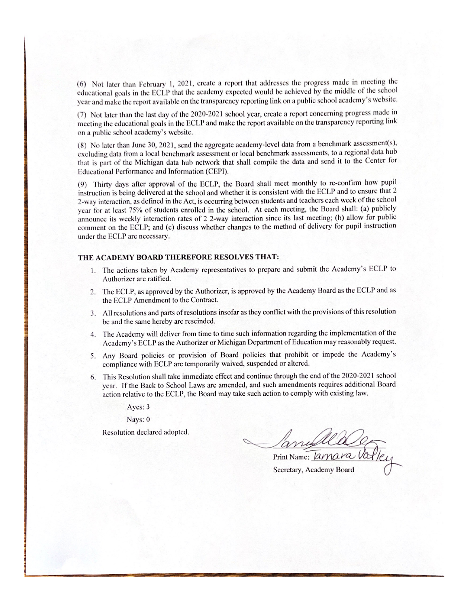(6) Not later than February 1, 2021, create a report that addresses the progress made in meeting the educational goals in the ECLP that the academy expected would be achieved by the middle of the school year and make the report available on the transparency reporting link on a public school academy's website.

(7) Not later than the last day of the 2020-2021 school year, create a report concerning progress made in meeting the educational goals in the ECLP and make the report available on the transparency reporting link on a public school academy's website.

(8) No later than June 30, 2021, send the aggregate academy-level data from a benchmark assessment(s), excluding data from a local benchmark assessment or local benchmark assessments, to a regional data hub that is part of the Michigan data hub network that shall compile the data and send it to the Center for Educational Performance and Information (CEPI).

(9) Thirty days after approval of the ECLP, the Board shall meet monthly to re-confirm how pupil instruction is being delivered at the school and whether it is consistent with the ECLP and to ensure that 2 2-way interaction, as defined in the Act, is occurring between students and teachers each week of the school year for at least 75% of students enrolled in the school. At each meeting, the Board shall: (a) publicly announce its weekly interaction rates of 2 2-way interaction since its last meeting; (b) allow for public comment on the ECLP; and (c) discuss whether changes to the method of delivery for pupil instruction under the ECLP are necessary.

#### THE ACADEMY BOARD THEREFORE RESOLVES THAT:

- 1. The actions taken by Academy representatives to prepare and submit the Academy's ECLP to Authorizer are ratified.
- 2. The ECLP, as approved by the Authorizer, is approved by the Academy Board as the ECLP and as the ECLP Amendment to the Contract.
- 3. All resolutions and parts of resolutions insofar as they conflict with the provisions of this resolution be and the same hereby are rescinded.
- 4. The Academy will deliver from time to time such information regarding the implementation of the Academy's ECLP as the Authorizer or Michigan Department of Education may reasonably request.
- Any Board policies or provision of Board policies that prohibit or impede the Academy's 5. compliance with ECLP are temporarily waived, suspended or altered.
- 6. This Resolution shall take immediate effect and continue through the end of the 2020-2021 school year. If the Back to School Laws are amended, and such amendments requires additional Board action relative to the ECLP, the Board may take such action to comply with existing law.

Ayes: 3

Nays: 0

Resolution declared adopted.

Print Name: *lamara Va* 

Secretary, Academy Board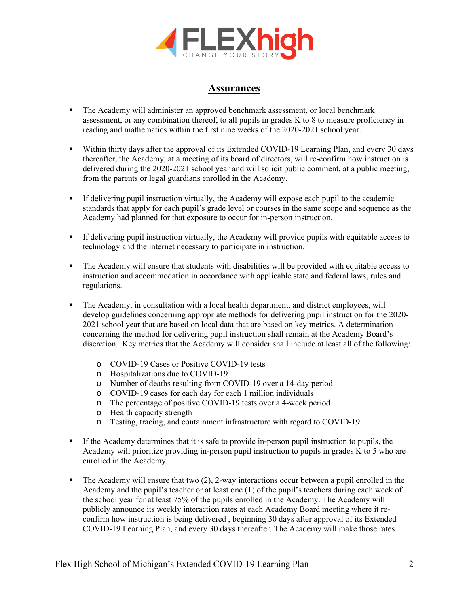

### **Assurances**

- The Academy will administer an approved benchmark assessment, or local benchmark assessment, or any combination thereof, to all pupils in grades K to 8 to measure proficiency in reading and mathematics within the first nine weeks of the 2020-2021 school year.
- Within thirty days after the approval of its Extended COVID-19 Learning Plan, and every 30 days thereafter, the Academy, at a meeting of its board of directors, will re-confirm how instruction is delivered during the 2020-2021 school year and will solicit public comment, at a public meeting, from the parents or legal guardians enrolled in the Academy.
- If delivering pupil instruction virtually, the Academy will expose each pupil to the academic standards that apply for each pupil's grade level or courses in the same scope and sequence as the Academy had planned for that exposure to occur for in-person instruction.
- If delivering pupil instruction virtually, the Academy will provide pupils with equitable access to technology and the internet necessary to participate in instruction.
- The Academy will ensure that students with disabilities will be provided with equitable access to instruction and accommodation in accordance with applicable state and federal laws, rules and regulations.
- The Academy, in consultation with a local health department, and district employees, will develop guidelines concerning appropriate methods for delivering pupil instruction for the 2020- 2021 school year that are based on local data that are based on key metrics. A determination concerning the method for delivering pupil instruction shall remain at the Academy Board's discretion. Key metrics that the Academy will consider shall include at least all of the following:
	- o COVID-19 Cases or Positive COVID-19 tests
	- o Hospitalizations due to COVID-19
	- o Number of deaths resulting from COVID-19 over a 14-day period
	- o COVID-19 cases for each day for each 1 million individuals
	- o The percentage of positive COVID-19 tests over a 4-week period
	- o Health capacity strength
	- o Testing, tracing, and containment infrastructure with regard to COVID-19
- If the Academy determines that it is safe to provide in-person pupil instruction to pupils, the Academy will prioritize providing in-person pupil instruction to pupils in grades K to 5 who are enrolled in the Academy.
- $\blacksquare$  The Academy will ensure that two (2), 2-way interactions occur between a pupil enrolled in the Academy and the pupil's teacher or at least one (1) of the pupil's teachers during each week of the school year for at least 75% of the pupils enrolled in the Academy. The Academy will publicly announce its weekly interaction rates at each Academy Board meeting where it reconfirm how instruction is being delivered , beginning 30 days after approval of its Extended COVID-19 Learning Plan, and every 30 days thereafter. The Academy will make those rates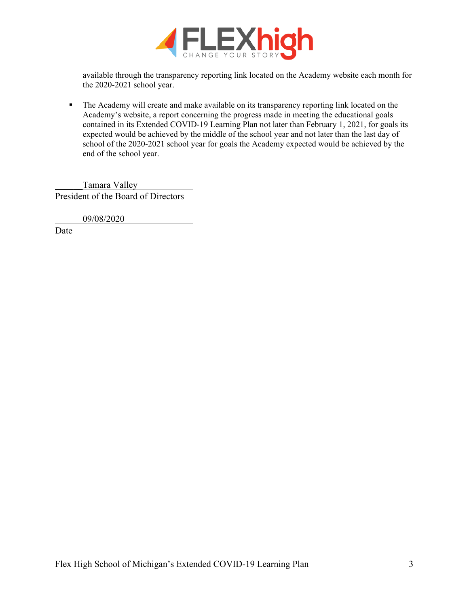

available through the transparency reporting link located on the Academy website each month for the 2020-2021 school year.

 The Academy will create and make available on its transparency reporting link located on the Academy's website, a report concerning the progress made in meeting the educational goals contained in its Extended COVID-19 Learning Plan not later than February 1, 2021, for goals its expected would be achieved by the middle of the school year and not later than the last day of school of the 2020-2021 school year for goals the Academy expected would be achieved by the end of the school year.

Tamara Valley President of the Board of Directors

09/08/2020

Date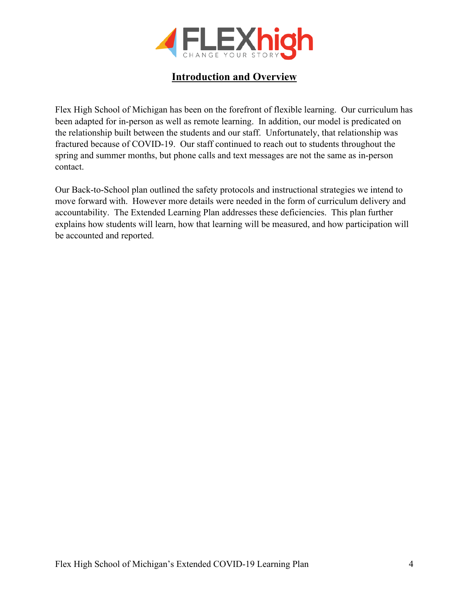

## **Introduction and Overview**

Flex High School of Michigan has been on the forefront of flexible learning. Our curriculum has been adapted for in-person as well as remote learning. In addition, our model is predicated on the relationship built between the students and our staff. Unfortunately, that relationship was fractured because of COVID-19. Our staff continued to reach out to students throughout the spring and summer months, but phone calls and text messages are not the same as in-person contact.

Our Back-to-School plan outlined the safety protocols and instructional strategies we intend to move forward with. However more details were needed in the form of curriculum delivery and accountability. The Extended Learning Plan addresses these deficiencies. This plan further explains how students will learn, how that learning will be measured, and how participation will be accounted and reported.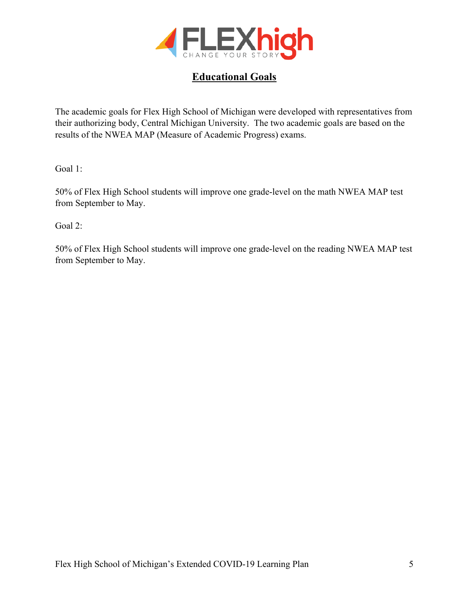

## **Educational Goals**

The academic goals for Flex High School of Michigan were developed with representatives from their authorizing body, Central Michigan University. The two academic goals are based on the results of the NWEA MAP (Measure of Academic Progress) exams.

Goal 1:

50% of Flex High School students will improve one grade-level on the math NWEA MAP test from September to May.

Goal 2:

50% of Flex High School students will improve one grade-level on the reading NWEA MAP test from September to May.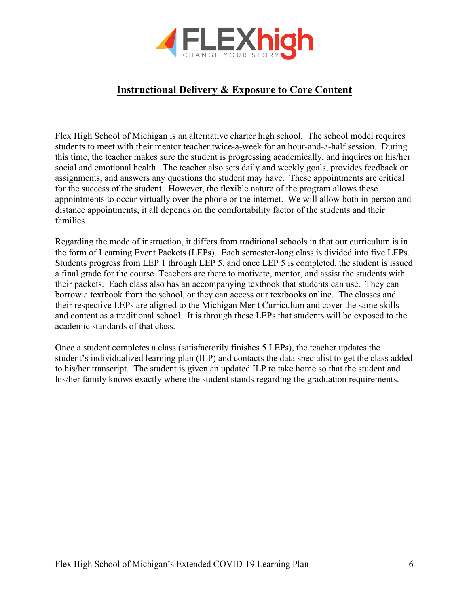

# **Instructional Delivery & Exposure to Core Content**

Flex High School of Michigan is an alternative charter high school. The school model requires students to meet with their mentor teacher twice-a-week for an hour-and-a-half session. During this time, the teacher makes sure the student is progressing academically, and inquires on his/her social and emotional health. The teacher also sets daily and weekly goals, provides feedback on assignments, and answers any questions the student may have. These appointments are critical for the success of the student. However, the flexible nature of the program allows these appointments to occur virtually over the phone or the internet. We will allow both in-person and distance appointments, it all depends on the comfortability factor of the students and their families.

Regarding the mode of instruction, it differs from traditional schools in that our curriculum is in the form of Learning Event Packets (LEPs). Each semester-long class is divided into five LEPs. Students progress from LEP 1 through LEP 5, and once LEP 5 is completed, the student is issued a final grade for the course. Teachers are there to motivate, mentor, and assist the students with their packets. Each class also has an accompanying textbook that students can use. They can borrow a textbook from the school, or they can access our textbooks online. The classes and their respective LEPs are aligned to the Michigan Merit Curriculum and cover the same skills and content as a traditional school. It is through these LEPs that students will be exposed to the academic standards of that class.

Once a student completes a class (satisfactorily finishes 5 LEPs), the teacher updates the student's individualized learning plan (ILP) and contacts the data specialist to get the class added to his/her transcript. The student is given an updated ILP to take home so that the student and his/her family knows exactly where the student stands regarding the graduation requirements.